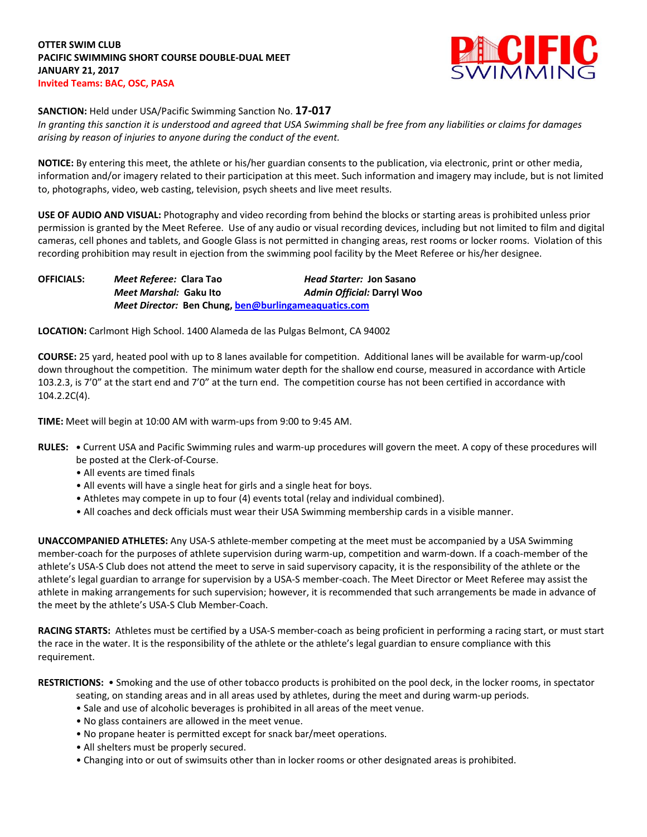

## **SANCTION:** Held under USA/Pacific Swimming Sanction No. **17-017**

*In granting this sanction it is understood and agreed that USA Swimming shall be free from any liabilities or claims for damages arising by reason of injuries to anyone during the conduct of the event.*

**NOTICE:** By entering this meet, the athlete or his/her guardian consents to the publication, via electronic, print or other media, information and/or imagery related to their participation at this meet. Such information and imagery may include, but is not limited to, photographs, video, web casting, television, psych sheets and live meet results.

**USE OF AUDIO AND VISUAL:** Photography and video recording from behind the blocks or starting areas is prohibited unless prior permission is granted by the Meet Referee. Use of any audio or visual recording devices, including but not limited to film and digital cameras, cell phones and tablets, and Google Glass is not permitted in changing areas, rest rooms or locker rooms. Violation of this recording prohibition may result in ejection from the swimming pool facility by the Meet Referee or his/her designee.

**OFFICIALS:** *Meet Referee:* **Clara Tao** *Head Starter:* **Jon Sasano** *Meet Marshal:* **Gaku Ito** *Admin Official:* **Darryl Woo** *Meet Director:* **Ben Chung[, ben@burlingameaquatics.com](mailto:ben@burlingameaquatics.com)**

**LOCATION:** Carlmont High School. 1400 Alameda de las Pulgas Belmont, CA 94002

**COURSE:** 25 yard, heated pool with up to 8 lanes available for competition. Additional lanes will be available for warm-up/cool down throughout the competition. The minimum water depth for the shallow end course, measured in accordance with Article 103.2.3, is 7'0" at the start end and 7'0" at the turn end. The competition course has not been certified in accordance with 104.2.2C(4).

**TIME:** Meet will begin at 10:00 AM with warm-ups from 9:00 to 9:45 AM.

- **RULES: •** Current USA and Pacific Swimming rules and warm-up procedures will govern the meet. A copy of these procedures will be posted at the Clerk-of-Course.
	- All events are timed finals
	- All events will have a single heat for girls and a single heat for boys.
	- Athletes may compete in up to four (4) events total (relay and individual combined).
	- All coaches and deck officials must wear their USA Swimming membership cards in a visible manner.

**UNACCOMPANIED ATHLETES:** Any USA-S athlete-member competing at the meet must be accompanied by a USA Swimming member-coach for the purposes of athlete supervision during warm-up, competition and warm-down. If a coach-member of the athlete's USA-S Club does not attend the meet to serve in said supervisory capacity, it is the responsibility of the athlete or the athlete's legal guardian to arrange for supervision by a USA-S member-coach. The Meet Director or Meet Referee may assist the athlete in making arrangements for such supervision; however, it is recommended that such arrangements be made in advance of the meet by the athlete's USA-S Club Member-Coach.

**RACING STARTS:** Athletes must be certified by a USA-S member-coach as being proficient in performing a racing start, or must start the race in the water. It is the responsibility of the athlete or the athlete's legal guardian to ensure compliance with this requirement.

**RESTRICTIONS:** • Smoking and the use of other tobacco products is prohibited on the pool deck, in the locker rooms, in spectator

- seating, on standing areas and in all areas used by athletes, during the meet and during warm-up periods.
- Sale and use of alcoholic beverages is prohibited in all areas of the meet venue.
- No glass containers are allowed in the meet venue.
- No propane heater is permitted except for snack bar/meet operations.
- All shelters must be properly secured.
- Changing into or out of swimsuits other than in locker rooms or other designated areas is prohibited.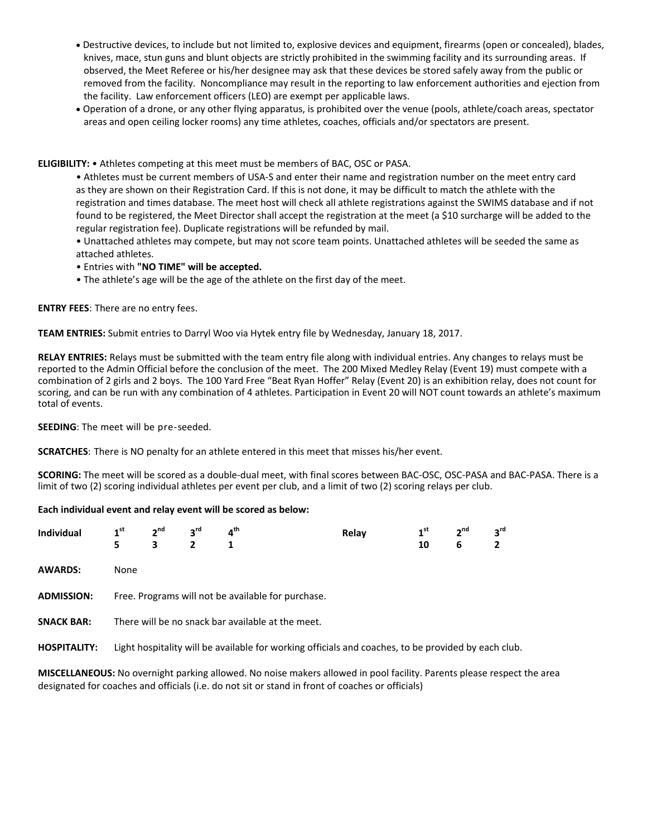- Destructive devices, to include but not limited to, explosive devices and equipment, firearms (open or concealed), blades, knives, mace, stun guns and blunt objects are strictly prohibited in the swimming facility and its surrounding areas. If observed, the Meet Referee or his/her designee may ask that these devices be stored safely away from the public or removed from the facility. Noncompliance may result in the reporting to law enforcement authorities and ejection from the facility. Law enforcement officers (LEO) are exempt per applicable laws.
- Operation of a drone, or any other flying apparatus, is prohibited over the venue (pools, athlete/coach areas, spectator areas and open ceiling locker rooms) any time athletes, coaches, officials and/or spectators are present.

**ELIGIBILITY:** • Athletes competing at this meet must be members of BAC, OSC or PASA.

• Athletes must be current members of USA-S and enter their name and registration number on the meet entry card as they are shown on their Registration Card. If this is not done, it may be difficult to match the athlete with the registration and times database. The meet host will check all athlete registrations against the SWIMS database and if not found to be registered, the Meet Director shall accept the registration at the meet (a \$10 surcharge will be added to the regular registration fee). Duplicate registrations will be refunded by mail.

• Unattached athletes may compete, but may not score team points. Unattached athletes will be seeded the same as attached athletes.

• Entries with **"NO TIME" will be accepted.**

• The athlete's age will be the age of the athlete on the first day of the meet.

**ENTRY FEES**: There are no entry fees.

**TEAM ENTRIES:** Submit entries to Darryl Woo via Hytek entry file by Wednesday, January 18, 2017.

**RELAY ENTRIES:** Relays must be submitted with the team entry file along with individual entries. Any changes to relays must be reported to the Admin Official before the conclusion of the meet. The 200 Mixed Medley Relay (Event 19) must compete with a combination of 2 girls and 2 boys. The 100 Yard Free "Beat Ryan Hoffer" Relay (Event 20) is an exhibition relay, does not count for scoring, and can be run with any combination of 4 athletes. Participation in Event 20 will NOT count towards an athlete's maximum total of events.

**SEEDING**: The meet will be pre-seeded.

**SCRATCHES**: There is NO penalty for an athlete entered in this meet that misses his/her event.

**SCORING:** The meet will be scored as a double-dual meet, with final scores between BAC-OSC, OSC-PASA and BAC-PASA. There is a limit of two (2) scoring individual athletes per event per club, and a limit of two (2) scoring relays per club.

## **Each individual event and relay event will be scored as below:**

| <b>Individual</b>   | 1 <sup>st</sup><br>5                                                                                | 2 <sup>nd</sup><br>3 | 3 <sup>rd</sup><br>2 | $4^{\text{th}}$<br>1 | Relay | 1 <sup>st</sup><br>10 | 2 <sup>nd</sup><br>6 | $3^{\text{rd}}$<br>$\overline{2}$ |  |
|---------------------|-----------------------------------------------------------------------------------------------------|----------------------|----------------------|----------------------|-------|-----------------------|----------------------|-----------------------------------|--|
| <b>AWARDS:</b>      | None                                                                                                |                      |                      |                      |       |                       |                      |                                   |  |
| <b>ADMISSION:</b>   | Free. Programs will not be available for purchase.                                                  |                      |                      |                      |       |                       |                      |                                   |  |
| <b>SNACK BAR:</b>   | There will be no snack bar available at the meet.                                                   |                      |                      |                      |       |                       |                      |                                   |  |
| <b>HOSPITALITY:</b> | Light hospitality will be available for working officials and coaches, to be provided by each club. |                      |                      |                      |       |                       |                      |                                   |  |
|                     |                                                                                                     |                      |                      |                      |       |                       |                      |                                   |  |

**MISCELLANEOUS:** No overnight parking allowed. No noise makers allowed in pool facility. Parents please respect the area designated for coaches and officials (i.e. do not sit or stand in front of coaches or officials)